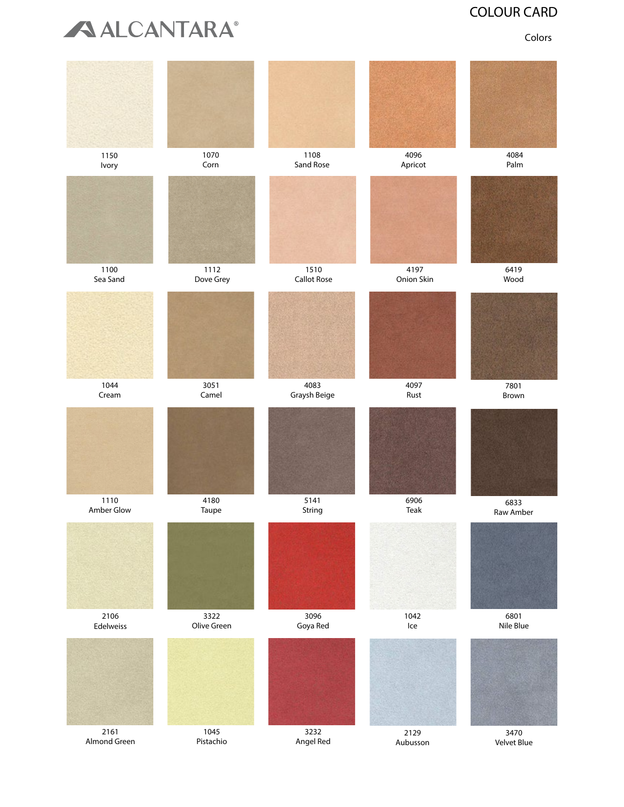

## COLOUR CARD COLOUR CARD

Colors

| 1150<br>Ivory        | 1070<br>Corn        | 1108<br>Sand Rose          | 4096<br>Apricot                     | 4084<br>Palm        |
|----------------------|---------------------|----------------------------|-------------------------------------|---------------------|
|                      |                     |                            |                                     |                     |
| 1100<br>Sea Sand     | 1112<br>Dove Grey   | 1510<br><b>Callot Rose</b> | 4197<br>Onion Skin                  | 6419<br>Wood        |
|                      |                     |                            |                                     |                     |
| 1044<br>Cream        | 3051<br>Camel       | 4083<br>Graysh Beige       | 4097<br>Rust                        | 7801<br>Brown       |
|                      |                     |                            |                                     |                     |
| 1110<br>Amber Glow   | 4180<br>Taupe       | 5141<br>String             | 6906<br>Teak                        | 6833<br>Raw Amber   |
|                      |                     |                            |                                     |                     |
| 2106<br>Edelweiss    | 3322<br>Olive Green | 3096<br>Goya Red           | 1042<br>$\ensuremath{\mathsf{Ice}}$ | 6801<br>Nile Blue   |
|                      |                     |                            |                                     |                     |
| 2161<br>Almond Green | 1045<br>Pistachio   | 3232<br>Angel Red          | 2129<br>Aubusson                    | 3470<br>Velvet Blue |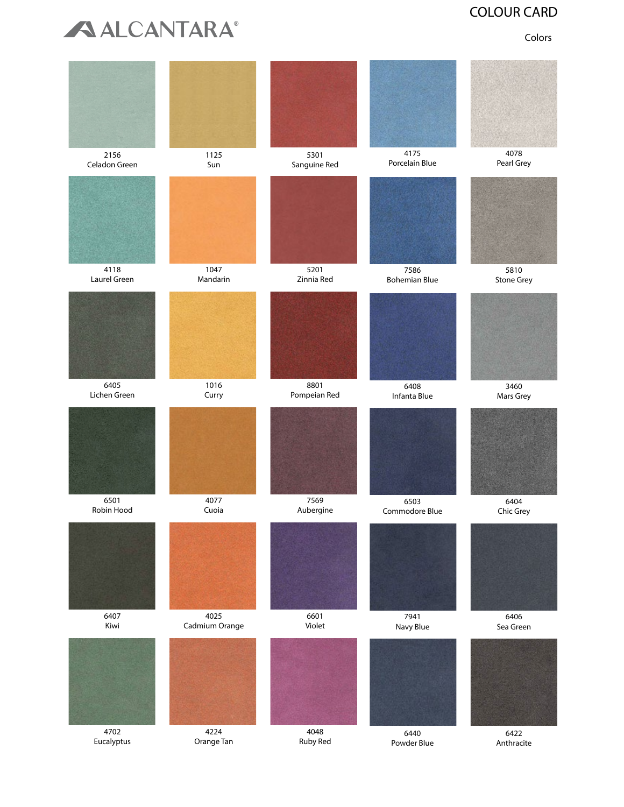

## COLOUR CARD COLOUR CARD

Colors

| 2156          | 1125           | 5301         | 4175                 | 4078              |
|---------------|----------------|--------------|----------------------|-------------------|
| Celadon Green | Sun            | Sanguine Red | Porcelain Blue       | Pearl Grey        |
|               |                |              |                      |                   |
| 4118          | 1047           | 5201         | 7586                 | 5810              |
| Laurel Green  | Mandarin       | Zinnia Red   | <b>Bohemian Blue</b> | <b>Stone Grey</b> |
|               |                |              |                      |                   |
| 6405          | 1016           | 8801         | 6408                 | 3460              |
| Lichen Green  | Curry          | Pompeian Red | Infanta Blue         | Mars Grey         |
|               |                |              |                      |                   |
| 6501          | 4077           | 7569         | 6503                 | 6404              |
| Robin Hood    | Cuoia          | Aubergine    | Commodore Blue       | Chic Grey         |
|               |                |              |                      |                   |
| 6407          | 4025           | 6601         | 7941                 | 6406              |
| Kiwi          | Cadmium Orange | Violet       | Navy Blue            | Sea Green         |
|               |                |              |                      |                   |
| 4702          | 4224           | 4048         | 6440                 | 6422              |
| Eucalyptus    | Orange Tan     | Ruby Red     | Powder Blue          | Anthracite        |